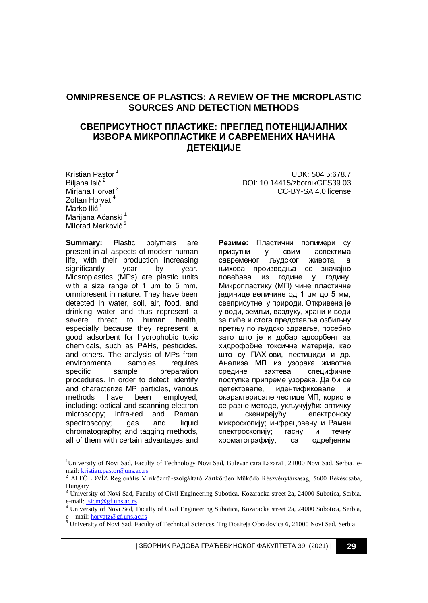# **OMNIPRESENCE OF PLASTICS: A REVIEW OF THE MICROPLASTIC SOURCES AND DETECTION METHODS**

# **СВЕПРИСУТНОСТ ПЛАСТИКЕ: ПРЕГЛЕД ПОТЕНЦИЈАЛНИХ ИЗВОРА МИКРОПЛАСТИКЕ И САВРЕМЕНИХ НАЧИНА ДЕТЕКЦИЈЕ**

Kristian Pastor<sup>1</sup> Biljana Isić<sup>2</sup> Mirjana Horvat<sup>3</sup> Zoltan Horvat<sup>4</sup> Marko Ilić<sup>1</sup> Marijana Ačanski<sup>1</sup> Milorad Marković<sup>5</sup>

1

**Summary:** Plastic polymers are present in all aspects of modern human life, with their production increasing significantly year by year. Micsroplastics (MPs) are plastic units with a size range of 1 µm to 5 mm, omnipresent in nature. They have been detected in water, soil, air, food, and drinking water and thus represent a severe threat to human health, especially because they represent a good adsorbent for hydrophobic toxic chemicals, such as PAHs, pesticides, and others. The analysis of MPs from environmental samples requires specific sample preparation procedures. In order to detect, identify and characterize MP particles, various methods have been employed, including: optical and scanning electron microscopy; infra-red and Raman spectroscopy; gas and liquid chromatography; and tagging methods, all of them with certain advantages and

UDK: 504.5:678.7 DOI: 10.14415/zbornikGFS39.03 CC-BY-SA 4.0 license

**Резиме:** Пластични полимери су присутни у свим аспектима савременог људског живота, а њихова производња се значајно повећава из године у годину. Микропластику (МП) чине пластичне јединице величине од 1 µм до 5 мм, свеприсутне у природи. Откривена је у води, земљи, ваздуху, храни и води за пиће и стога представља озбиљну претњу по људско здравље, посебно зато што је и добар адсорбент за хидрофобне токсичне материја, као што су ПАХ-ови, пестициди и др. Анализа МП из узорака животне средине захтева специфичне поступке припреме узорака. Да би се детектовале, идентификовале и окарактерисале честице МП, користе се разне методе, укључујући: оптичку и скенирајућу електронску микроскопију; инфрацрвену и Раман спектроскопију; гасну и течну хроматографију, са одређеним

| ЗБОРНИК РАДОВА ГРАЂЕВИНСКОГ ФАКУЛТЕТА 39 (2021) | **29**

<sup>&</sup>lt;sup>1</sup>University of Novi Sad, Faculty of Technology Novi Sad, Bulevar cara Lazara1, 21000 Novi Sad, Serbia, email: <u>kristian.pastor@uns.ac.rs</u><br><sup>2</sup> ALFÖLDVÍZ Regionális Víziközmű-szolgáltató Zártkörűen Működő Részvénytársaság, 5600 Békéscsaba,

Hungary

<sup>&</sup>lt;sup>3</sup> University of Novi Sad, Faculty of Civil Engineering Subotica, Kozaracka street 2a, 24000 Subotica, Serbia, e-mail: *isicm@gf.uns.ac.rs* 

<sup>4</sup> University of Novi Sad, Faculty of Civil Engineering Subotica, Kozaracka street 2a, 24000 Subotica, Serbia, e – mail: [horvatz@gf.uns.ac.rs](mailto:horvatz@gf.uns.ac.rs) 

<sup>&</sup>lt;sup>5</sup> University of Novi Sad, Faculty of Technical Sciences, Trg Dositeja Obradovica 6, 21000 Novi Sad, Serbia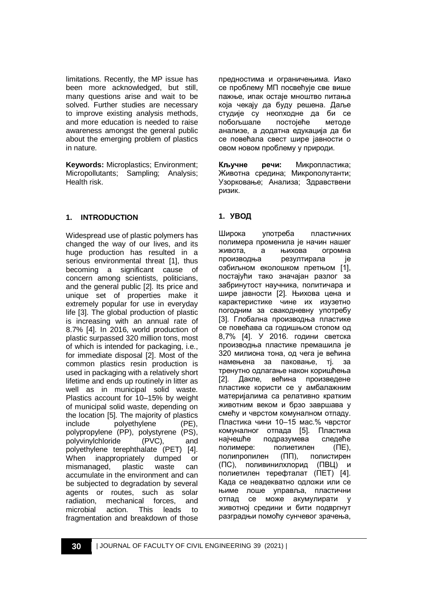limitations. Recently, the MP issue has been more acknowledged, but still, many questions arise and wait to be solved. Further studies are necessary to improve existing analysis methods, and more education is needed to raise awareness amongst the general public about the emerging problem of plastics in nature.

**Keywords:** Microplastics; Environment; Micropollutants; Sampling; Analysis; Health risk.

## **1. INTRODUCTION**

Widespread use of plastic polymers has changed the way of our lives, and its huge production has resulted in a serious environmental threat [1], thus becoming a significant cause of concern among scientists, politicians, and the general public [2]. Its price and unique set of properties make it extremely popular for use in everyday life [3]. The global production of plastic is increasing with an annual rate of 8.7% [4]. In 2016, world production of plastic surpassed 320 million tons, most of which is intended for packaging, i.e., for immediate disposal [2]. Most of the common plastics resin production is used in packaging with a relatively short lifetime and ends up routinely in litter as well as in municipal solid waste. Plastics account for 10–15% by weight of municipal solid waste, depending on the location [5]. The majority of plastics include polyethylene (PE), polypropylene (PP), polystyrene (PS), polyvinylchloride (PVC), and polyethylene terephthalate (PET) [4]. When inappropriately dumped or mismanaged, plastic waste can accumulate in the environment and can be subjected to degradation by several agents or routes, such as solar radiation, mechanical forces, and microbial action. This leads to fragmentation and breakdown of those предностима и ограничењима. Иако се проблему МП посвећује све више пажње, ипак остаје мноштво питања која чекају да буду решена. Даље студије су неопходне да би се побољшале постојеће методе анализе, а додатна едукација да би се повећала свест шире јавности о овом новом проблему у природи.

**Кључне речи:** Микропластика; Животна средина; Микрополутанти; Узорковање; Анализа; Здравствени ризик.

## **1. УВОД**

Широка употреба пластичних полимера променила је начин нашег живота, а њихова огромна производња резултирала је озбиљном еколошком претњом [1], постајући тако значајан разлог за забринутост научника, политичара и шире јавности [2]. Њихова цена и карактеристике чине их изузетно погодним за свакодневну употребу [3]. Глобална производња пластике се повећава са годишњом стопом од 8,7% [4]. У 2016. години светска производња пластике премашила је 320 милиона тона, од чега је већина намењена за паковање, тј. за тренутно одлагање након коришћења [2]. Дакле, већина произведене пластике користи се у амбалажним материјалима са релативно кратким животним веком и брзо завршава у смећу и чврстом комуналном отпаду. Пластика чини 10–15 мас.% чврстог комуналног отпада [5]. Пластика најчешће подразумева следеће полимере: полиетилен (ПЕ), полипропилен (ПП), полистирен (ПС), поливинилхлорид (ПВЦ) и полиетилен терефталат (ПЕТ) [4]. Када се неадекватно одложи или се њиме лоше управља, пластични отпад се може акумулирати у животној средини и бити подвргнут разградњи помоћу сунчевог зрачења,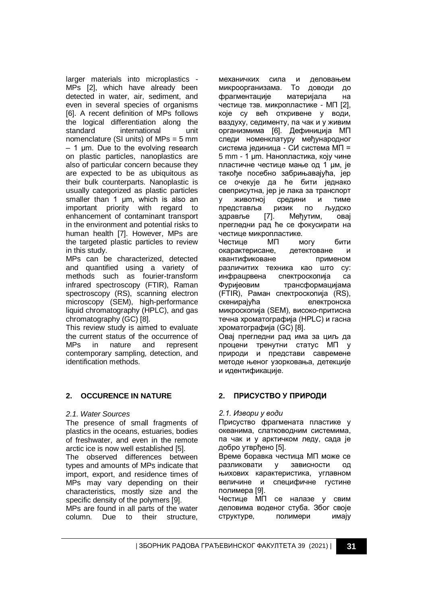larger materials into microplastics - MPs [2], which have already been detected in water, air, sediment, and even in several species of organisms [6]. A recent definition of MPs follows the logical differentiation along the standard international unit nomenclature (SI units) of MPs = 5 mm – 1 µm. Due to the evolving research on plastic particles, nanoplastics are also of particular concern because they are expected to be as ubiquitous as their bulk counterparts. Nanoplastic is usually categorized as plastic particles smaller than 1 µm, which is also an important priority with regard to enhancement of contaminant transport in the environment and potential risks to human health [7]. However, MPs are the targeted plastic particles to review in this study.

MPs can be characterized, detected and quantified using a variety of methods such as fourier-transform infrared spectroscopy (FTIR), Raman spectroscopy (RS), scanning electron microscopy (SEM), high-performance liquid chromatography (HPLC), and gas chromatography (GC) [8].

This review study is aimed to evaluate the current status of the occurrence of MPs in nature and represent contemporary sampling, detection, and identification methods.

## **2. OCCURENCE IN NATURE**

#### *2.1. Water Sources*

The presence of small fragments of plastics in the oceans, estuaries, bodies of freshwater, and even in the remote arctic ice is now well established [5].

The observed differences between types and amounts of MPs indicate that import, export, and residence times of MPs may vary depending on their characteristics, mostly size and the specific density of the polymers [9].

MPs are found in all parts of the water column. Due to their structure, механичких сила и деловањем микроорганизама. То доводи до фрагментације материјала на честице тзв. микропластике - МП [2], које су већ откривене у води, ваздуху, седименту, па чак и у живим организмима [6]. Дефиниција МП следи номенклатуру међународног система јединица - СИ система МП = 5 mm - 1 µm. Нанопластика, коју чине пластичне честице мање од 1 µм, је такође посебно забрињавајућа, јер се очекује да ће бити једнако свеприсутна, јер је лака за транспорт у животној средини и тиме<br>представља ризик по људско представља ризик по људско здравље [7]. Међутим, овај прегледни рад ће се фокусирати на честице микропластике.<br>Честице МП м Честице МП могу бити окарактерисане, детектоване и квантификоване применом различитих техника као што су: инфрацрвена спектроскопија са Фуријеовим трансформацијама (FTIR), Раман спектроскопија (RS), скенирајућа електронска микроскопија (SEM), високо-притисна течна хроматографија (HPLC) и гасна хроматографија (GC) [8]. Овај прегледни рад има за циљ да процени тренутни статус МП у природи и представи савремене методе њеног узорковања, детекције

## **2. ПРИСУСТВО У ПРИРОДИ**

#### *2.1. Извори у води*

и идентификације.

Присуство фрагмената пластике у океанима, слатководним системима, па чак и у арктичком леду, сада је добро утврђено [5].

Време боравка честица МП може се разликовати у зависности од њихових карактеристика, углавном величине и специфичне густине полимера [9].

Честице МП се налазе у свим деловима воденог стуба. Због своје структуре, полимери имају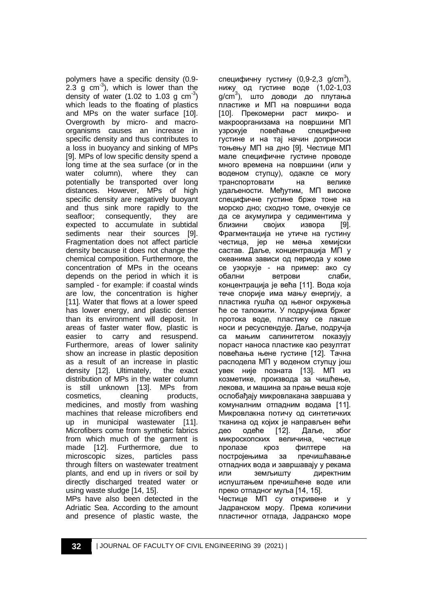polymers have a specific density (0.9-  $2.3$  g cm<sup>-3</sup>), which is lower than the density of water (1.02 to 1.03 g  $\text{cm}^{-3}$ ) which leads to the floating of plastics and MPs on the water surface [10]. Overgrowth by micro- and macroorganisms causes an increase in specific density and thus contributes to a loss in buoyancy and sinking of MPs [9]. MPs of low specific density spend a long time at the sea surface (or in the water column), where they can potentially be transported over long distances. However, MPs of high specific density are negatively buoyant and thus sink more rapidly to the seafloor; consequently, they are expected to accumulate in subtidal sediments near their sources [9]. Fragmentation does not affect particle density because it does not change the chemical composition. Furthermore, the concentration of MPs in the oceans depends on the period in which it is sampled - for example: if coastal winds are low, the concentration is higher [11]. Water that flows at a lower speed has lower energy, and plastic denser than its environment will deposit. In areas of faster water flow, plastic is easier to carry and resuspend. Furthermore, areas of lower salinity show an increase in plastic deposition as a result of an increase in plastic density [12]. Ultimately, the exact distribution of MPs in the water column is still unknown [13]. MPs from cosmetics, cleaning products, medicines, and mostly from washing machines that release microfibers end up in municipal wastewater [11]. Microfibers come from synthetic fabrics from which much of the garment is made [12]. Furthermore, due to microscopic sizes, particles pass through filters on wastewater treatment plants, and end up in rivers or soil by directly discharged treated water or using waste sludge [14, 15].

MPs have also been detected in the Adriatic Sea. According to the amount and presence of plastic waste, the

специфичну густину (0,9-2,3 g/cm<sup>3</sup>), нижу од густине воде (1,02-1,03 g/cm<sup>3</sup>), што доводи до плутања пластике и МП на површини вода [10]. Прекомерни раст микро- и макроорганизама на површини МП узрокује повећање специфичне густине и на тај начин доприноси тоњењу МП на дно [9]. Честице МП мале специфичне густине проводе много времена на површини (или у воденом ступцу), одакле се могу транспортовати на велике удаљености. Међутим, МП високе специфичне густине брже тоне на морско дно; сходно томе, очекује се да се акумулира у седиментима у близини својих извора [9]. Фрагментација не утиче на густину честица, јер не мења хемијски састав. Даље, концентрација МП у океанима зависи од периода у коме се узоркује - на пример: ако су обални ветрови слаби, концентрација је већа [11]. Вода која тече спорије има мању енергију, а пластика гушћа од њеног окружења ће се таложити. У подручјима бржег протока воде, пластику се лакше носи и ресуспендује. Даље, подручја са мањим салинитетом показују пораст наноса пластике као резултат повећања њене густине [12]. Тачна расподела МП у воденом ступцу још увек није позната [13]. МП из козметике, производа за чишћење, лекова, и машина за прање веша које ослобађају микровлакана завршава у комуналним отпадним водама [11]. Микровлакна потичу од синтетичких тканина од којих је направљен већи<br>део содеће [12]. Даље, због део одеће [12]. Даље, због микроскопских величина, честице пролазе кроз филтере на постројењима за пречишћавање отпадних вода и завршавају у рекама или земљишту директним испуштањем пречишћене воде или преко отпадног муља [14, 15]. Честице МП су откривене и у

Јадранском мору. Према количини пластичног отпада, Јадранско море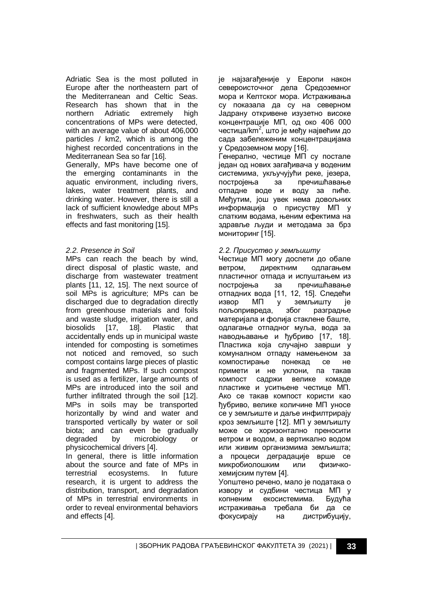Adriatic Sea is the most polluted in Europe after the northeastern part of the Mediterranean and Celtic Seas. Research has shown that in the northern Adriatic extremely high concentrations of MPs were detected, with an average value of about 406,000 particles / km2, which is among the highest recorded concentrations in the Mediterranean Sea so far [16].

Generally, MPs have become one of the emerging contaminants in the aquatic environment, including rivers, lakes, water treatment plants, and drinking water. However, there is still a lack of sufficient knowledge about MPs in freshwaters, such as their health effects and fast monitoring [15].

### *2.2. Presence in Soil*

MPs can reach the beach by wind, direct disposal of plastic waste, and discharge from wastewater treatment plants [11, 12, 15]. The next source of soil MPs is agriculture; MPs can be discharged due to degradation directly from greenhouse materials and foils and waste sludge, irrigation water, and biosolids [17, 18]. Plastic that accidentally ends up in municipal waste intended for composting is sometimes not noticed and removed, so such compost contains large pieces of plastic and fragmented MPs. If such compost is used as a fertilizer, large amounts of MPs are introduced into the soil and further infiltrated through the soil [12]. MPs in soils may be transported horizontally by wind and water and transported vertically by water or soil biota; and can even be gradually degraded by microbiology or physicochemical drivers [4].

In general, there is little information about the source and fate of MPs in terrestrial ecosystems. In future research, it is urgent to address the distribution, transport, and degradation of MPs in terrestrial environments in order to reveal environmental behaviors and effects [4].

је најзагађеније у Европи након североисточног дела Средоземног мора и Келтског мора. Истраживања су показала да су на северном Јадрану откривене изузетно високе концентрације МП, од око 406 000 честица/km<sup>2</sup>, што је међу највећим до сада забележеним концентрацијама у Средоземном мору [16].

Генерално, честице МП су постале један од нових загађивача у воденим системима, укључујући реке, језера, постројења за пречишћавање отпадне воде и воду за пиће. Међутим, још увек нема довољних информација о присуству МП у слатким водама, њеним ефектима на здравље људи и методама за брз мониторинг [15].

#### *2.2. Присуство у земљишту*

Честице МП могу доспети до обале ветром, директним одлагањем пластичног отпада и испуштањем из постројења за пречишћавање отпадних вода [11, 12, 15]. Следећи извор МП у земљишту је пољопривреда, због разградње материјала и фолија стаклене баште, одлагање отпадног муља, вода за наводњавање и ђубриво [17, 18]. Пластика која случајно заврши у комуналном отпаду намењеном за компостирање понекад се не примети и не уклони, па такав компост садржи велике комаде пластике и уситњене честице МП. Ако се такав компост користи као ђубриво, велике количине МП уносе се у земљиште и даље инфилтрирају кроз земљиште [12]. МП у земљишту може се хоризонтално преносити ветром и водом, а вертикално водом или живим организмима земљишта; а процеси деградације врше се микробиолошким или физичкохемијским путем [4]. Уопштено речено, мало је података о

извору и судбини честица МП у копненим екосистемима. Будућа истраживања требала би да се фокусирају на дистрибуцију,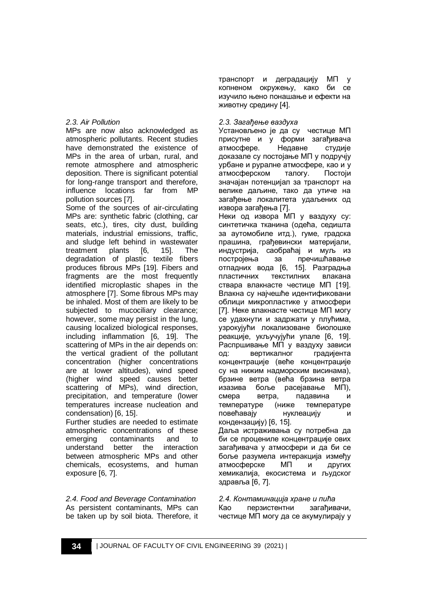### *2.3. Air Pollution*

MPs are now also acknowledged as atmospheric pollutants. Recent studies have demonstrated the existence of MPs in the area of urban, rural, and remote atmosphere and atmospheric deposition. There is significant potential for long-range transport and therefore, influence locations far from MP pollution sources [7].

Some of the sources of air-circulating MPs are: synthetic fabric (clothing, car seats, etc.), tires, city dust, building materials, industrial emissions, traffic, and sludge left behind in wastewater treatment plants [6, 15]. The degradation of plastic textile fibers produces fibrous MPs [19]. Fibers and fragments are the most frequently identified microplastic shapes in the atmosphere [7]. Some fibrous MPs may be inhaled. Most of them are likely to be subjected to mucociliary clearance; however, some may persist in the lung, causing localized biological responses, including inflammation [6, 19]. The scattering of MPs in the air depends on: the vertical gradient of the pollutant concentration (higher concentrations are at lower altitudes), wind speed (higher wind speed causes better scattering of MPs), wind direction, precipitation, and temperature (lower temperatures increase nucleation and condensation) [6, 15].

Further studies are needed to estimate atmospheric concentrations of these emerging contaminants and to understand better the interaction between atmospheric MPs and other chemicals, ecosystems, and human exposure [6, 7].

*2.4. Food and Beverage Contamination* As persistent contaminants, MPs can be taken up by soil biota. Therefore, it транспорт и деградацију МП у копненом окружењу, како би се изучило њено понашање и ефекти на животну средину [4].

### *2.3. Загађење ваздуха*

Установљено је да су честице МП присутне и у форми загађивача атмосфере. Недавне студије доказале су постојање МП у подручју урбане и руралне атмосфере, као и у атмосферском талогу. Постоји значајан потенцијал за транспорт на велике даљине, тако да утиче на загађење локалитета удаљених од извора загађења [7].

Неки од извора МП у ваздуху су: синтетичка тканина (одећа, седишта за аутомобиле итд.), гуме, градска прашина, грађевински материјали, индустрија, саобраћај и муљ из постројења за пречишћавање отпадних вода [6, 15]. Разградња пластичних текстилних влакана ствара влакнасте честице МП [19]. Влакна су најчешће идентификовани облици микропластике у атмосфери [7]. Неке влакнасте честице МП могу се удахнути и задржати у плућима, узрокујући локализоване биолошке реакције, укључујући упале [6, 19]. Распршивање МП у ваздуху зависи од: вертикалног градијента концентрације (веће концентрације су на нижим надморским висинама), брзине ветра (већа брзина ветра изазива боље расејавање МП), смера ветра, падавина и температуре (ниже температуре повећавају нуклеацију кондензацију) [6, 15].

Даља истраживања су потребна да би се процениле концентрације ових загађивача у атмосфери и да би се боље разумела интеракција између атмосферске МП и других хемикалија, екосистема и људског здравља [6, 7].

*2.4. Контаминација хране и пића* Као перзистентни загађивачи, честице МП могу да се акумулирају у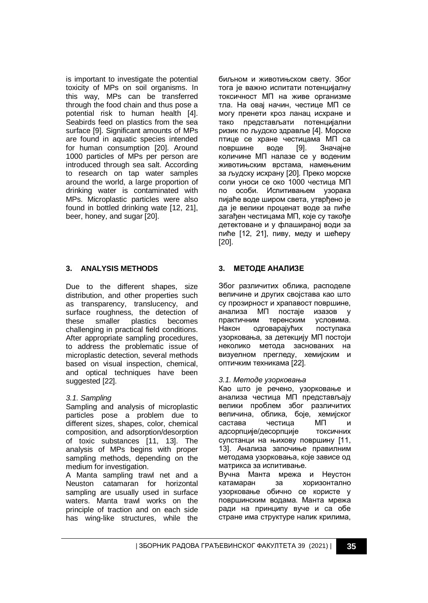is important to investigate the potential toxicity of MPs on soil organisms. In this way, MPs can be transferred through the food chain and thus pose a potential risk to human health [4]. Seabirds feed on plastics from the sea surface [9]. Significant amounts of MPs are found in aquatic species intended for human consumption [20]. Around 1000 particles of MPs per person are introduced through sea salt. According to research on tap water samples around the world, a large proportion of drinking water is contaminated with MPs. Microplastic particles were also found in bottled drinking wate [12, 21], beer, honey, and sugar [20].

## **3. ANALYSIS METHODS**

Due to the different shapes, size distribution, and other properties such as transparency, translucency, and surface roughness, the detection of these smaller plastics becomes challenging in practical field conditions. After appropriate sampling procedures, to address the problematic issue of microplastic detection, several methods based on visual inspection, chemical, and optical techniques have been suggested [22].

## *3.1. Sampling*

Sampling and analysis of microplastic particles pose a problem due to different sizes, shapes, color, chemical composition, and adsorption/desorption of toxic substances [11, 13]. The analysis of MPs begins with proper sampling methods, depending on the medium for investigation.

A Manta sampling trawl net and a Neuston catamaran for horizontal sampling are usually used in surface waters. Manta trawl works on the principle of traction and on each side has wing-like structures, while the биљном и животињском свету. Због тога је важно испитати потенцијалну токсичност МП на живе организме тла. На овај начин, честице МП се могу пренети кроз ланац исхране и тако представљати потенцијални ризик по људско здравље [4]. Морске птице се хране честицама МП са површине воде [9]. Значајне количине МП налазе се у воденим животињским врстама, намењеним за људску исхрану [20]. Преко морске соли уноси се око 1000 честица МП по особи. Испитивањем узорака пијаће воде широм света, утврђено је да је велики проценат воде за пиће загађен честицама МП, које су такође детектоване и у флашираној води за пиће [12, 21], пиву, меду и шећеру [20].

## **3. МЕТОДЕ АНАЛИЗЕ**

Због различитих облика, расподеле величине и других својстава као што су прозирност и храпавост површине, анализа МП постаје изазов у практичним теренским условима. Након одговарајућих поступака узорковања, за детекцију МП постоји неколико метода заснованих на визуелном прегледу, хемијским и оптичким техникама [22].

## *3.1. Методе узорковања*

Као што је речено, узорковање и анализа честица МП представљају велики проблем због различитих величина, облика, боје, хемијског састава честица МП и адсорпције/десорпције токсичних супстанци на њихову површину [11, 13]. Анализа започиње правилним методама узорковања, које зависе од матрикса за испитивање.

Вучна Манта мрежа и Неустон катамаран за хоризонтално узорковање обично се користе у површинским водама. Манта мрежа ради на принципу вуче и са обе стране има структуре налик крилима,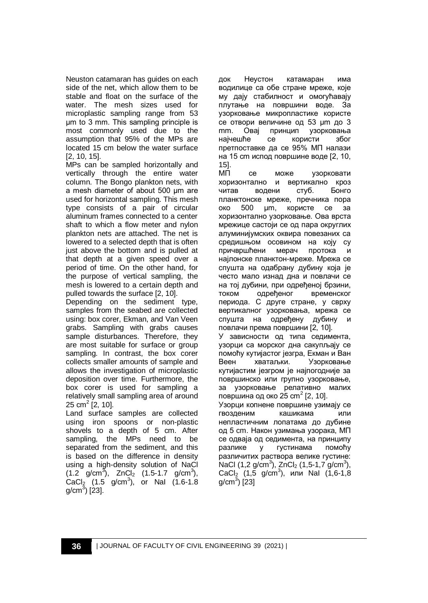Neuston catamaran has guides on each side of the net, which allow them to be stable and float on the surface of the water. The mesh sizes used for microplastic sampling range from 53 μm to 3 mm. This sampling principle is most commonly used due to the assumption that 95% of the MPs are located 15 cm below the water surface [2, 10, 15].

MPs can be sampled horizontally and vertically through the entire water column. The Bongo plankton nets, with a mesh diameter of about 500 μm are used for horizontal sampling. This mesh type consists of a pair of circular aluminum frames connected to a center shaft to which a flow meter and nylon plankton nets are attached. The net is lowered to a selected depth that is often just above the bottom and is pulled at that depth at a given speed over a period of time. On the other hand, for the purpose of vertical sampling, the mesh is lowered to a certain depth and pulled towards the surface [2, 10].

Depending on the sediment type, samples from the seabed are collected using: box corer, Ekman, and Van Veen grabs. Sampling with grabs causes sample disturbances. Therefore, they are most suitable for surface or group sampling. In contrast, the box corer collects smaller amounts of sample and allows the investigation of microplastic deposition over time. Furthermore, the box corer is used for sampling a relatively small sampling area of around 25 cm<sup>2</sup> [2, 10].

Land surface samples are collected using iron spoons or non-plastic shovels to a depth of 5 cm. After sampling, the MPs need to be separated from the sediment, and this is based on the difference in density using a high-density solution of NaCl  $(1.2 \text{ g/cm}^3)$ , ZnCl<sub>2</sub>  $(1.5-1.7 \text{ g/cm}^3)$ ,  $CaCl<sub>2</sub>$  (1.5 g/cm<sup>3</sup>), or NaI (1.6-1.8 g/cm $^{3}$ ) [23].

док Неустон катамаран има водилице са обе стране мреже, које му дају стабилност и омогућавају плутање на површини воде. За узорковање микропластике користе се отвори величине од 53 μm до 3 mm. Овај принцип узорковања најчешће се користи због претпоставке да се 95% МП налази на 15 cm испод површине воде [2, 10, 15].

МП се може узорковати хоризонтално и вертикално кроз читав водени стуб. Бонго планктонске мреже, пречника пора око 500 μm, користе се за хоризонтално узорковање. Ова врста мрежице састоји се од пара округлих алуминијумских оквира повезаних са средишњом осовином на коју су причвршћени мерач протока најлонске планктон-мреже. Мрежа се спушта на одабрану дубину која је често мало изнад дна и повлачи се на тој дубини, при одређеној брзини, током одређеног временског периода. С друге стране, у сврху вертикалног узорковања, мрежа се спушта на одређену дубину и повлачи према површини [2, 10]. У зависности од типа седимента, узорци са морског дна сакупљају се помоћу кутијастог језгра, Екман и Ван Веен хватаљки. Узорковање кутијастим језгром је најпогодније за површинско или групно узорковање, за узорковање релативно малих површина од око 25 cm<sup>2</sup> [2, 10]. Узорци копнене површине узимају се гвозденим кашикама или непластичним лопатама до дубине од 5 cm. Након узимања узорака, МП се одваја од седимента, на принципу

разлике у густинама помоћу различитих раствора велике густине: NaCl (1,2 g/cm<sup>3</sup>), ZnCl<sub>2</sub> (1,5-1,7 g/cm<sup>3</sup>),  $CaCl<sub>2</sub> (1,5 g/cm<sup>3</sup>)$ , или Nal (1,6-1,8 g/cm<sup>3</sup>) [23]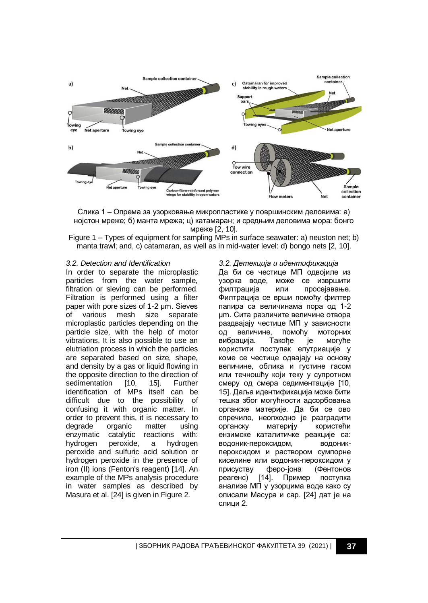

Слика 1 – Опрема за узорковање микропластике у површинским деловима: а) нојстон мреже; б) манта мрежа; ц) катамаран; и средњим деловима мора: бонго мреже [2, 10].

Figure 1 – Types of equipment for sampling MPs in surface seawater: a) neuston net; b) manta trawl; and, c) catamaran, as well as in mid-water level: d) bongo nets [2, 10].

#### *3.2. Detection and Identification*

In order to separate the microplastic particles from the water sample, filtration or sieving can be performed. Filtration is performed using a filter paper with pore sizes of 1-2 μm. Sieves<br>of various mesh size separate of various mesh size separate microplastic particles depending on the particle size, with the help of motor vibrations. It is also possible to use an elutriation process in which the particles are separated based on size, shape, and density by a gas or liquid flowing in the opposite direction to the direction of sedimentation [10, 15]. Further identification of MPs itself can be difficult due to the possibility of confusing it with organic matter. In order to prevent this, it is necessary to degrade organic matter using enzymatic catalytic reactions with: hydrogen peroxide, a hydrogen peroxide and sulfuric acid solution or hydrogen peroxide in the presence of iron (II) ions (Fenton's reagent) [14]. An example of the MPs analysis procedure in water samples as described by Masura et al. [24] is given in Figure 2.

#### *3.2. Детекција и идентификација*

Да би се честице МП одвојиле из узорка воде, може се извршити филтрација или просејавање. Филтрација се врши помоћу филтер папира са величинама пора од 1-2 μm. Сита различите величине отвора раздвајају честице МП у зависности од величине, помоћу моторних вибрација. Такође је могуће користити поступак елутриације у коме се честице одвајају на основу величине, облика и густине гасом или течношћу који теку у супротном смеру од смера седиментације [10, 15]. Даља идентификација може бити тешка због могућности адсорбовања органске материје. Да би се ово спречило, неопходно је разградити органску материју користећи ензимске каталитичке реакције са: водоник-пероксидом, водоникпероксидом и раствором сумпорне киселине или водоник-пероксидом у присуству феро-јона (Фентонов реагенс) [14]. Пример поступка анализе МП у узорцима воде како су описали Масура и сар. [24] дат је на слици 2.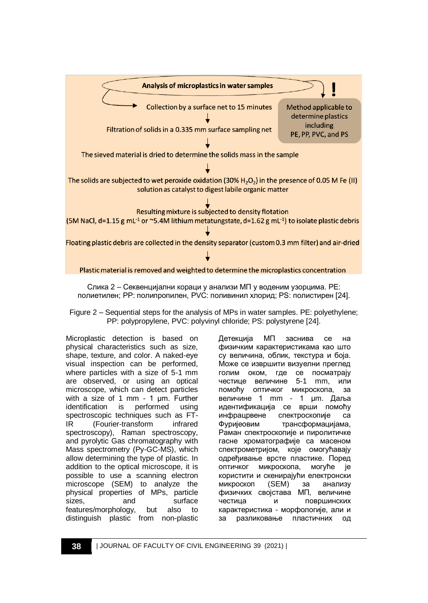

Слика 2 – Секвенцијални кораци у анализи МП у воденим узорцима. PE: полиетилен; PP: полипропилен, PVC: поливинил хлорид; PS: полистирен [24].

Figure 2 – Sequential steps for the analysis of MPs in water samples. PE: polyethylene; PP: polypropylene, PVC: polyvinyl chloride; PS: polystyrene [24].

Microplastic detection is based on physical characteristics such as size, shape, texture, and color. A naked-eye visual inspection can be performed, where particles with a size of 5-1 mm are observed, or using an optical microscope, which can detect particles with a size of 1 mm - 1 μm. Further identification is performed using spectroscopic techniques such as FT-IR (Fourier-transform infrared spectroscopy), Raman spectroscopy, and pyrolytic Gas chromatography with Mass spectrometry (Py-GC-MS), which allow determining the type of plastic. In addition to the optical microscope, it is possible to use a scanning electron microscope (SEM) to analyze the physical properties of MPs, particle sizes. and surface features/morphology, but also to distinguish plastic from non-plastic

Детекција МП заснива се на физичким карактеристикама као што су величина, облик, текстура и боја. Може се извршити визуелни преглед голим оком, где се посматрају честице величине 5-1 mm, или помоћу оптичког микроскопа, за величине 1 mm - 1 μm. Даља идентификација се врши помоћу инфрацрвене спектроскопије са Фуријеовим трансформацијама, Раман спектроскопије и пиролитичке гасне хроматографије са масеном спектрометријом, које омогућавају одређивање врсте пластике. Поред оптичког микроскопа, могуће је користити и скенирајући електронски микроскоп (SEM) за анализу физичких својстава МП, величине честица и површинских карактеристика - морфологије, али и за разликовање пластичних од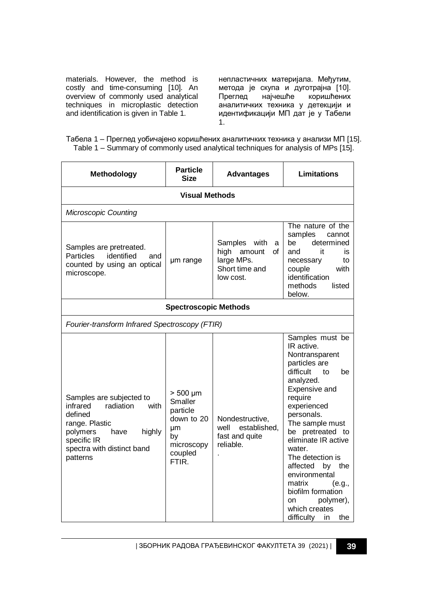materials. However, the method is costly and time-consuming [10]. An overview of commonly used analytical techniques in microplastic detection and identification is given in Table 1.

непластичних материјала. Међутим, метода је скупа и дуготрајна [10]. Преглед најчешће коришћених аналитичких техника у детекцији и идентификацији МП дат је у Табели 1.

| Табела 1 – Преглед уобичајено коришћених аналитичких техника у анализи МП [15].    |  |  |  |
|------------------------------------------------------------------------------------|--|--|--|
| Table 1 – Summary of commonly used analytical techniques for analysis of MPs [15]. |  |  |  |

| <b>Methodology</b>                                                                                                                                                            | <b>Particle</b><br><b>Size</b>                                                                   | <b>Advantages</b>                                                                      | Limitations                                                                                                                                                                                                                                                                                                                                                                                          |  |  |  |
|-------------------------------------------------------------------------------------------------------------------------------------------------------------------------------|--------------------------------------------------------------------------------------------------|----------------------------------------------------------------------------------------|------------------------------------------------------------------------------------------------------------------------------------------------------------------------------------------------------------------------------------------------------------------------------------------------------------------------------------------------------------------------------------------------------|--|--|--|
| <b>Visual Methods</b>                                                                                                                                                         |                                                                                                  |                                                                                        |                                                                                                                                                                                                                                                                                                                                                                                                      |  |  |  |
| <b>Microscopic Counting</b>                                                                                                                                                   |                                                                                                  |                                                                                        |                                                                                                                                                                                                                                                                                                                                                                                                      |  |  |  |
| Samples are pretreated.<br><b>Particles</b><br>identified<br>and<br>counted by using an optical<br>microscope.                                                                | um range                                                                                         | Samples with<br>a<br>high<br>amount<br>of<br>large MPs.<br>Short time and<br>low cost. | The nature of the<br>samples<br>cannot<br>determined<br>be<br>and<br>it<br>is<br>to<br>necessary<br>with<br>couple<br>identification<br>methods<br>listed<br>below.                                                                                                                                                                                                                                  |  |  |  |
|                                                                                                                                                                               | <b>Spectroscopic Methods</b>                                                                     |                                                                                        |                                                                                                                                                                                                                                                                                                                                                                                                      |  |  |  |
| Fourier-transform Infrared Spectroscopy (FTIR)                                                                                                                                |                                                                                                  |                                                                                        |                                                                                                                                                                                                                                                                                                                                                                                                      |  |  |  |
| Samples are subjected to<br>infrared<br>radiation<br>with<br>defined<br>range. Plastic<br>polymers<br>highly<br>have<br>specific IR<br>spectra with distinct band<br>patterns | $> 500 \mu m$<br>Smaller<br>particle<br>down to 20<br>μm<br>by<br>microscopy<br>coupled<br>FTIR. | Nondestructive,<br>well established,<br>fast and quite<br>reliable.                    | Samples must be<br>IR active.<br>Nontransparent<br>particles are<br>difficult<br>to<br>be<br>analyzed.<br>Expensive and<br>require<br>experienced<br>personals.<br>The sample must<br>be pretreated to<br>eliminate IR active<br>water.<br>The detection is<br>affected by the<br>environmental<br>matrix<br>(e.g.,<br>biofilm formation<br>polymer),<br>on<br>which creates<br>difficulty in<br>the |  |  |  |

| ЗБОРНИК РАДОВА ГРАЂЕВИНСКОГ ФАКУЛТЕТА 39 (2021) | **39**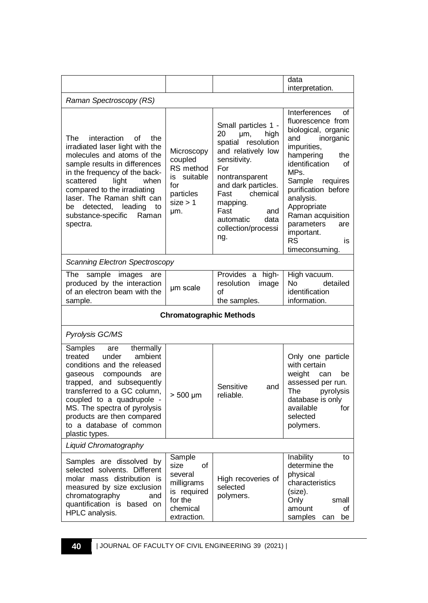|                                                                                                                                                                                                                                                                                                                                              |                                                                                                    |                                                                                                                                                                                                                                                        | data                                                                                                                                                                                                                                                                                                                         |  |
|----------------------------------------------------------------------------------------------------------------------------------------------------------------------------------------------------------------------------------------------------------------------------------------------------------------------------------------------|----------------------------------------------------------------------------------------------------|--------------------------------------------------------------------------------------------------------------------------------------------------------------------------------------------------------------------------------------------------------|------------------------------------------------------------------------------------------------------------------------------------------------------------------------------------------------------------------------------------------------------------------------------------------------------------------------------|--|
|                                                                                                                                                                                                                                                                                                                                              |                                                                                                    |                                                                                                                                                                                                                                                        | interpretation.                                                                                                                                                                                                                                                                                                              |  |
| Raman Spectroscopy (RS)                                                                                                                                                                                                                                                                                                                      |                                                                                                    |                                                                                                                                                                                                                                                        |                                                                                                                                                                                                                                                                                                                              |  |
| The<br>interaction<br>οf<br>the<br>irradiated laser light with the<br>molecules and atoms of the<br>sample results in differences<br>in the frequency of the back-<br>scattered<br>light<br>when<br>compared to the irradiating<br>laser. The Raman shift can<br>detected,<br>leading<br>be<br>to<br>substance-specific<br>Raman<br>spectra. | Microscopy<br>coupled<br>RS method<br>is suitable<br>for<br>particles<br>size > 1<br>µm.           | Small particles 1 -<br>20<br>high<br>µm,<br>spatial resolution<br>and relatively low<br>sensitivity.<br>For<br>nontransparent<br>and dark particles.<br>chemical<br>Fast<br>mapping.<br>Fast<br>and<br>automatic<br>data<br>collection/processi<br>ng. | Interferences<br>οf<br>fluorescence from<br>biological, organic<br>and<br>inorganic<br>impurities,<br>hampering<br>the<br>identification<br>οf<br>MPs.<br>Sample<br>requires<br>purification before<br>analysis.<br>Appropriate<br>Raman acquisition<br>parameters<br>are<br>important.<br><b>RS</b><br>is<br>timeconsuming. |  |
| Scanning Electron Spectroscopy                                                                                                                                                                                                                                                                                                               |                                                                                                    |                                                                                                                                                                                                                                                        |                                                                                                                                                                                                                                                                                                                              |  |
| The<br>sample<br>images<br>are<br>produced by the interaction<br>of an electron beam with the<br>sample.                                                                                                                                                                                                                                     | um scale                                                                                           | Provides a high-<br>resolution<br>image<br>οf<br>the samples.                                                                                                                                                                                          | High vacuum.<br>N٥<br>detailed<br>identification<br>information.                                                                                                                                                                                                                                                             |  |
| <b>Chromatographic Methods</b>                                                                                                                                                                                                                                                                                                               |                                                                                                    |                                                                                                                                                                                                                                                        |                                                                                                                                                                                                                                                                                                                              |  |
| Pyrolysis GC/MS                                                                                                                                                                                                                                                                                                                              |                                                                                                    |                                                                                                                                                                                                                                                        |                                                                                                                                                                                                                                                                                                                              |  |
| Samples<br>thermally<br>are<br>ambient<br>treated<br>under<br>conditions and the released<br>gaseous compounds<br>are<br>trapped, and subsequently<br>transferred to a GC column,<br>coupled to a quadrupole -<br>MS. The spectra of pyrolysis<br>products are then compared<br>to a database of common<br>plastic types.                    | $> 500 \mu m$                                                                                      | Sensitive<br>and<br>reliable.                                                                                                                                                                                                                          | Only one particle<br>with certain<br>weight<br>can<br>be<br>assessed per run.<br>The<br>pyrolysis<br>database is only<br>available<br>for<br>selected<br>polymers.                                                                                                                                                           |  |
| Liquid Chromatography                                                                                                                                                                                                                                                                                                                        |                                                                                                    |                                                                                                                                                                                                                                                        |                                                                                                                                                                                                                                                                                                                              |  |
| Samples are dissolved by<br>selected solvents. Different<br>molar mass distribution is<br>measured by size exclusion<br>chromatography<br>and<br>quantification is based on<br>HPLC analysis.                                                                                                                                                | Sample<br>of<br>size<br>several<br>milligrams<br>is required<br>for the<br>chemical<br>extraction. | High recoveries of<br>selected<br>polymers.                                                                                                                                                                                                            | Inability<br>to<br>determine the<br>physical<br>characteristics<br>(size).<br>Only<br>small<br>amount<br>οf<br>samples<br>be<br>can                                                                                                                                                                                          |  |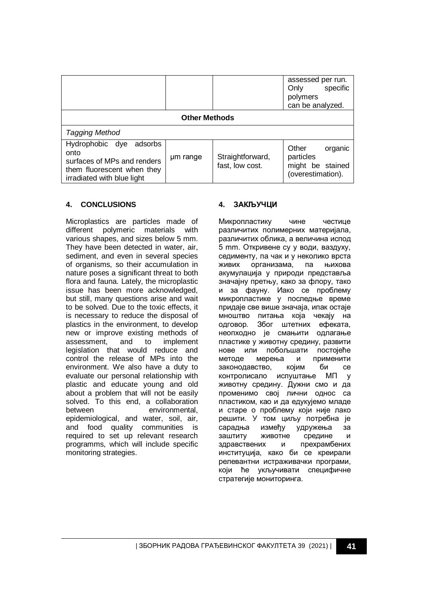|                                                                                                                            |          |                                     | assessed per run.<br>specific<br>Only<br>polymers<br>can be analyzed.  |  |
|----------------------------------------------------------------------------------------------------------------------------|----------|-------------------------------------|------------------------------------------------------------------------|--|
| <b>Other Methods</b>                                                                                                       |          |                                     |                                                                        |  |
| Tagging Method                                                                                                             |          |                                     |                                                                        |  |
| Hydrophobic dye adsorbs<br>onto<br>surfaces of MPs and renders<br>them fluorescent when they<br>irradiated with blue light | um range | Straightforward,<br>fast, low cost. | Other<br>organic<br>particles<br>might be stained<br>(overestimation). |  |

## **4. CONCLUSIONS**

Microplastics are particles made of different polymeric materials with various shapes, and sizes below 5 mm. They have been detected in water, air, sediment, and even in several species of organisms, so their accumulation in nature poses a significant threat to both flora and fauna. Lately, the microplastic issue has been more acknowledged, but still, many questions arise and wait to be solved. Due to the toxic effects, it is necessary to reduce the disposal of plastics in the environment, to develop new or improve existing methods of assessment, and to implement legislation that would reduce and control the release of MPs into the environment. We also have a duty to evaluate our personal relationship with plastic and educate young and old about a problem that will not be easily solved. To this end, a collaboration between environmental, epidemiological, and water, soil, air, and food quality communities is required to set up relevant research programms, which will include specific monitoring strategies.

## **4. ЗАКЉУЧЦИ**

Микропластику чине честице различитих полимерних материјала, различитих облика, а величина испод 5 mm. Откривене су у води, ваздуху, седименту, па чак и у неколико врста живих организама, па њихова акумулација у природи представља значајну претњу, како за флору, тако и за фауну. Иако се проблему микропластике у последње време придаје све више значаја, ипак остаје мноштво питања која чекају на одговор. Због штетних ефеката, неопходно је смањити одлагање пластике у животну средину, развити нове или побољшати постојеће методе мерења и применити законодавство, којим би се контролисало испуштање МП у животну средину. Дужни смо и да променимо свој лични однос са пластиком, као и да едукујемо младе и старе о проблему који није лако решити. У том циљу потребна је сарадња између удружења за заштиту животне средине и здравствених и прехрамбених институција, како би се креирали релевантни истраживачки програми, који ће укључивати специфичне стратегије мониторинга.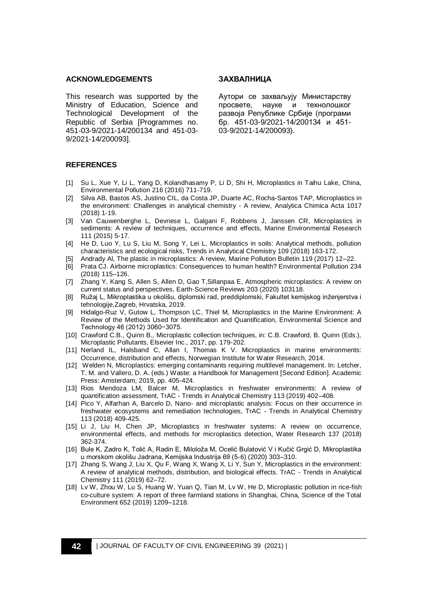#### **ACKNOWLEDGEMENTS**

This research was supported by the Ministry of Education, Science and Technological Development of the Republic of Serbia [Programmes no. 451-03-9/2021-14/200134 and 451-03- 9/2021-14/200093].

#### **ЗАХВАЛНИЦА**

Аутори се захваљују Министарству просвете, науке и технолошког развоја Републике Србије (програми бр. 451-03-9/2021-14/200134 и 451- 03-9/2021-14/200093).

#### **REFERENCES**

- [1] Su L, Xue Y, Li L, Yang D, Kolandhasamy P, Li D, Shi H, Microplastics in Taihu Lake, China, Environmental Pollution 216 (2016) 711-719.
- [2] Silva AB, Bastos AS, Justino CIL, da Costa JP, Duarte AC, Rocha-Santos TAP, Microplastics in the environment: Challenges in analytical chemistry - A review, Analytica Chimica Acta 1017 (2018) 1-19.
- [3] Van Cauwenberghe L, Devriese L, Galgani F, Robbens J, Janssen CR, Microplastics in sediments: A review of techniques, occurrence and effects, Marine Environmental Research 111 (2015) 5-17.
- [4] He D, Luo Y, Lu S, Liu M, Song Y, Lei L, Microplastics in soils: Analytical methods, pollution characteristics and ecological risks, Trends in Analytical Chemistry 109 (2018) 163-172.
- [5] Andrady Al, The plastic in microplastics: A review, Marine Pollution Bulletin 119 (2017) 12–22.
- [6] Prata CJ. Airborne microplastics: Consequences to human health? Environmental Pollution 234 (2018) 115–126.
- [7] Zhang Y, Kang S, Allen S, Allen D, Gao T,Sillanpaa E, Atmospheric microplastics: A review on current status and perspectives, Earth-Science Reviews 203 (2020) 103118.
- [8] Ružaj L, Mikroplastika u okolišu, diplomski rad, preddiplomski, Fakultet kemijskog inženjerstva i tehnologije,Zagreb, Hrvatska, 2019.
- [9] Hidalgo-Ruz V, Gutow L, Thompson LC, Thiel M, Microplastics in the Marine Environment: A Review of the Methods Used for Identification and Quantification, Environmental Science and Technology 46 (2012) 3060−3075.
- [10] Crawford C.B., Quinn B., Microplastic collection techniques, in: C.B. Crawford, B. Quinn (Eds.), Microplastic Pollutants, Elsevier Inc., 2017, pp. 179-202.
- [11] Nerland IL, Halsband C, Allan I, Thomas K V. Microplastics in marine environments: Occurrence, distribution and effects, Norwegian Institute for Water Research, 2014.
- [12] Welden N, Microplastics: emerging contaminants requiring multilevel management. In: Letcher, T. M. and Vallero, D. A. (eds.) Waste: a Handbook for Management [Second Edition]. Academic Press: Amsterdam, 2019, pp. 405-424.
- [13] Rios Mendoza LM, Balcer M, Microplastics in freshwater environments: A review of quantification assessment, TrAC - Trends in Analytical Chemistry 113 (2019) 402–408.
- [14] Pico Y, Alfarhan A, Barcelo D, Nano- and microplastic analysis: Focus on their occurrence in freshwater ecosystems and remediation technologies, TrAC - Trends in Analytical Chemistry 113 (2018) 409-425.
- [15] Li J, Liu H, Chen JP, Microplastics in freshwater systems: A review on occurrence, environmental effects, and methods for microplastics detection, Water Research 137 (2018) 362-374.
- [16] Bule K, Zadro K, Tolić A, Radin E, Miloloža M, Ocelić Bulatović V i Kučić Grgić D, Mikroplastika u morskom okolišu Jadrana, Kemijska Industrija 69 (5-6) (2020) 303–310.
- [17] Zhang S, Wang J, Liu X, Qu F, Wang X, Wang X, Li Y, Sun Y, Microplastics in the environment: A review of analytical methods, distribution, and biological effects. TrAC - Trends in Analytical Chemistry 111 (2019) 62–72.
- [18] Lv W, Zhou W, Lu S, Huang W, Yuan Q, Tian M, Lv W, He D, Microplastic pollution in rice-fish co-culture system: A report of three farmland stations in Shanghai, China, Science of the Total Environment 652 (2019) 1209–1218.